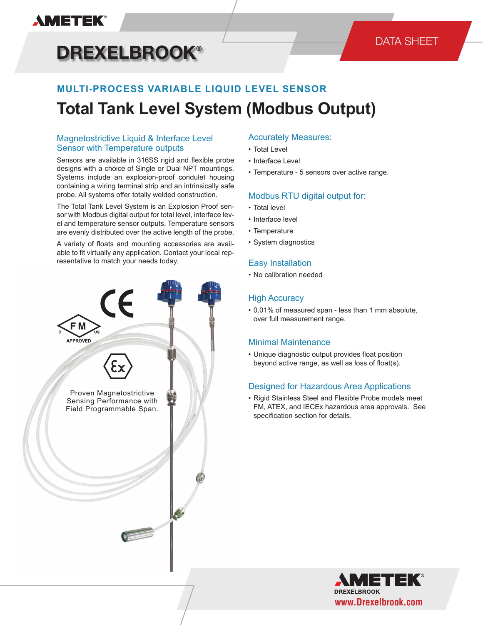### **AMETEK®**

# **DREXELBROOK®**

### DATA SHEET

## **MULTI-PROCESS VARIABLE LIQUID LEVEL SENSOR Total Tank Level System (Modbus Output)**

#### Magnetostrictive Liquid & Interface Level Sensor with Temperature outputs

Sensors are available in 316SS rigid and flexible probe designs with a choice of Single or Dual NPT mountings. Systems include an explosion-proof condulet housing containing a wiring terminal strip and an intrinsically safe probe. All systems offer totally welded construction.

The Total Tank Level System is an Explosion Proof sensor with Modbus digital output for total level, interface level and temperature sensor outputs. Temperature sensors are evenly distributed over the active length of the probe.

A variety of floats and mounting accessories are available to fit virtually any application. Contact your local representative to match your needs today.



#### Accurately Measures:

- Total Level
- Interface Level
- Temperature 5 sensors over active range.

#### Modbus RTU digital output for:

- Total level
- Interface level
- Temperature
- System diagnostics

#### Easy Installation

• No calibration needed

#### High Accuracy

• 0.01% of measured span - less than 1 mm absolute, over full measurement range.

#### Minimal Maintenance

• Unique diagnostic output provides float position beyond active range, as well as loss of float(s).

#### Designed for Hazardous Area Applications

• Rigid Stainless Steel and Flexible Probe models meet FM, ATEX, and IECEx hazardous area approvals. See specification section for details.

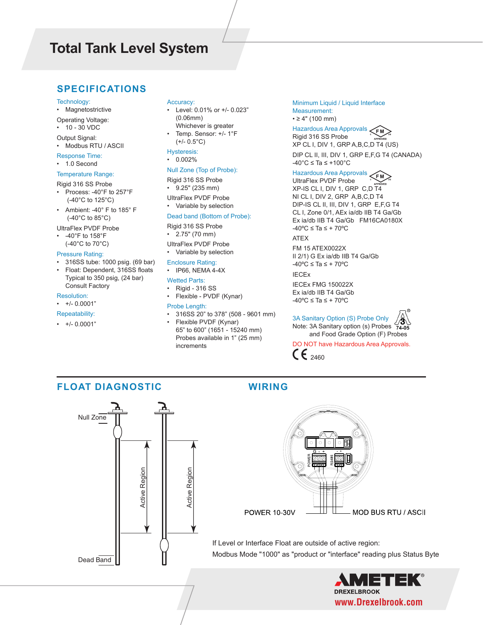#### **SPECIFICATIONS**

- Technology:
- Magnetostrictive
- Operating Voltage:

• 10 - 30 VDC

- Output Signal: • Modbus RTU / ASCII
- 
- Response Time: • 1.0 Second

#### Temperature Range:

- Rigid 316 SS Probe
- Process: -40°F to 257°F (-40°C to 125°C)
- Ambient: -40° F to 185° F (-40°C to 85°C)

#### UltraFlex PVDF Probe

Consult Factory

• -40°F to 158°F (-40°C to 70°C)

#### Pressure Rating:

- 316SS tube: 1000 psig. (69 bar)
- Float: Dependent, 316SS floats Typical to 350 psig, (24 bar)

#### Resolution:

• +/- 0.0001"

#### Repeatability:

 $\cdot$  +/- 0.0001"

#### Accuracy:

- Level: 0.01% or +/- 0.023" (0.06mm) Whichever is greater
- Temp. Sensor: +/- 1°F  $(+/- 0.5°C)$

#### Hysteresis:

• 0.002%

#### Null Zone (Top of Probe):

- Rigid 316 SS Probe
- 9.25" (235 mm)
- UltraFlex PVDF Probe • Variable by selection

#### Dead band (Bottom of Probe):

Rigid 316 SS Probe

- 2.75" (70 mm)
- UltraFlex PVDF Probe
- Variable by selection
- Enclosure Rating:
- IP66, NEMA 4-4X

#### Wetted Parts:

• Rigid - 316 SS • Flexible - PVDF (Kynar)

#### Probe Length:

• 316SS 20" to 378" (508 - 9601 mm) • Flexible PVDF (Kynar) 65" to 600" (1651 - 15240 mm) Probes available in 1" (25 mm) increments

Minimum Liquid / Liquid Interface Measurement:  $• ≥ 4" (100 mm)$ 

#### Hazardous Area Approvals **FM** Rigid 316 SS Probe XP CL I, DIV 1, GRP A,B,C,D T4 (US) DIP CL II, III, DIV 1, GRP E,F,G T4 (CANADA)

 $-40^{\circ}$ C ≤ Ta ≤ +100 $^{\circ}$ C

#### Hazardous Area Approvals  $<$ FM

UltraFlex PVDF Probe XP-IS CL I, DIV 1, GRP C,D T4 NI CL I, DIV 2, GRP A,B,C,D T4 DIP-IS CL II, III, DIV 1, GRP E,F,G T4 CL I, Zone 0/1, AEx ia/db IIB T4 Ga/Gb Ex ia/db IIB T4 Ga/Gb FM16CA0180X -40ºC ≤ Ta ≤ + 70ºC

ATEX

FM 15 ATEX0022X II 2/1) G Ex ia/db IIB T4 Ga/Gb -40ºC ≤ Ta ≤ + 70ºC

#### IECEx

IECEx FMG 150022X Ex ia/db IIB T4 Ga/Gb -40ºC ≤ Ta ≤ + 70ºC



DO NOT have Hazardous Area Approvals.  $C_{2460}$ 

#### **FLOAT DIAGNOSTIC WIRING**





If Level or Interface Float are outside of active region: Modbus Mode "1000" as "product or "interface" reading plus Status Byte

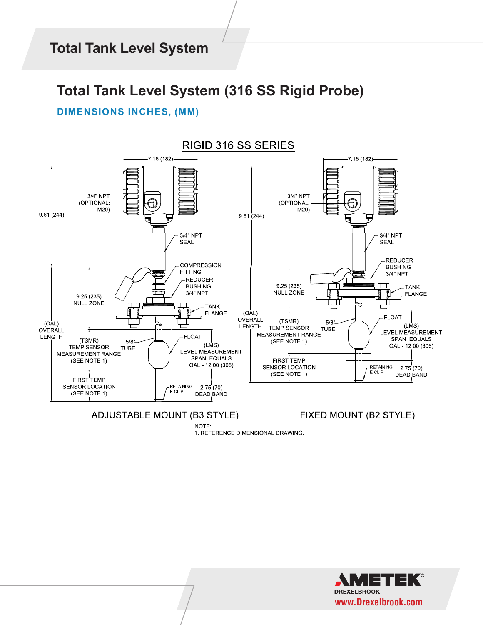### **Total Tank Level System (316 SS Rigid Probe)**

### **DIMENSIONS INCHES, (MM)**



**ADJUSTABLE MOUNT (B3 STYLE)** 

NOTE:

FIXED MOUNT (B2 STYLE)

1. REFERENCE DIMENSIONAL DRAWING.

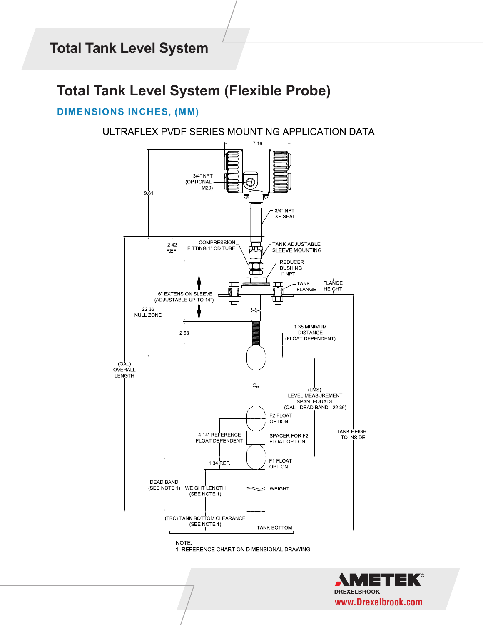## **Total Tank Level System (Flexible Probe)**

### **DIMENSIONS INCHES, (MM)**

ULTRAFLEX PVDF SERIES MOUNTING APPLICATION DATA





1. REFERENCE CHART ON DIMENSIONAL DRAWING.

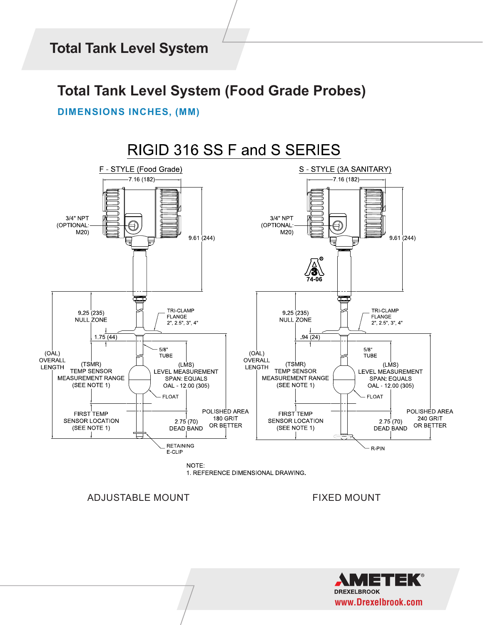### **Total Tank Level System (Food Grade Probes)**

#### **DIMENSIONS INCHES, (MM)**



ADJUSTABLE MOUNT FIXED MOUNT